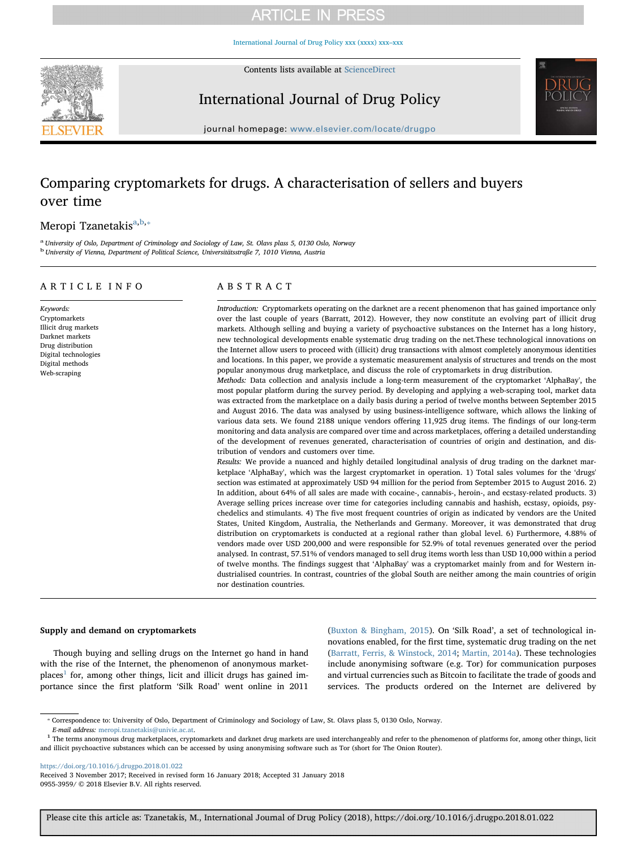[International Journal of Drug Policy xxx \(xxxx\) xxx–xxx](https://doi.org/10.1016/j.drugpo.2018.01.022)



Contents lists available at [ScienceDirect](http://www.sciencedirect.com/science/journal/09553959)

## International Journal of Drug Policy



journal homepage: [www.elsevier.com/locate/drugpo](https://www.elsevier.com/locate/drugpo)

# Comparing cryptomarkets for drugs. A characterisation of sellers and buyers over time

## Meropi Tz[a](#page-0-0)netakis<sup>a,[b,](#page-0-1)\*</sup>

<span id="page-0-1"></span><span id="page-0-0"></span>University of Oslo, Department of Criminology and Sociology of Law, St. Olavs plass 5, 0130 Oslo, Norway <sup>b</sup> University of Vienna, Department of Political Science, Universitätsstraße 7, 1010 Vienna, Austria

## ARTICLE INFO

Keywords: Cryptomarkets Illicit drug markets Darknet markets Drug distribution Digital technologies Digital methods Web-scraping

## ABSTRACT

Introduction: Cryptomarkets operating on the darknet are a recent phenomenon that has gained importance only over the last couple of years (Barratt, 2012). However, they now constitute an evolving part of illicit drug markets. Although selling and buying a variety of psychoactive substances on the Internet has a long history, new technological developments enable systematic drug trading on the net.These technological innovations on the Internet allow users to proceed with (illicit) drug transactions with almost completely anonymous identities and locations. In this paper, we provide a systematic measurement analysis of structures and trends on the most popular anonymous drug marketplace, and discuss the role of cryptomarkets in drug distribution.

Methods: Data collection and analysis include a long-term measurement of the cryptomarket 'AlphaBay', the most popular platform during the survey period. By developing and applying a web-scraping tool, market data was extracted from the marketplace on a daily basis during a period of twelve months between September 2015 and August 2016. The data was analysed by using business-intelligence software, which allows the linking of various data sets. We found 2188 unique vendors offering 11,925 drug items. The findings of our long-term monitoring and data analysis are compared over time and across marketplaces, offering a detailed understanding of the development of revenues generated, characterisation of countries of origin and destination, and distribution of vendors and customers over time.

Results: We provide a nuanced and highly detailed longitudinal analysis of drug trading on the darknet marketplace 'AlphaBay', which was the largest cryptomarket in operation. 1) Total sales volumes for the 'drugs' section was estimated at approximately USD 94 million for the period from September 2015 to August 2016. 2) In addition, about 64% of all sales are made with cocaine-, cannabis-, heroin-, and ecstasy-related products. 3) Average selling prices increase over time for categories including cannabis and hashish, ecstasy, opioids, psychedelics and stimulants. 4) The five most frequent countries of origin as indicated by vendors are the United States, United Kingdom, Australia, the Netherlands and Germany. Moreover, it was demonstrated that drug distribution on cryptomarkets is conducted at a regional rather than global level. 6) Furthermore, 4.88% of vendors made over USD 200,000 and were responsible for 52.9% of total revenues generated over the period analysed. In contrast, 57.51% of vendors managed to sell drug items worth less than USD 10,000 within a period of twelve months. The findings suggest that 'AlphaBay' was a cryptomarket mainly from and for Western industrialised countries. In contrast, countries of the global South are neither among the main countries of origin nor destination countries.

## Supply and demand on cryptomarkets

Though buying and selling drugs on the Internet go hand in hand with the rise of the Internet, the phenomenon of anonymous market-places<sup>[1](#page-0-3)</sup> for, among other things, licit and illicit drugs has gained importance since the first platform 'Silk Road' went online in 2011

([Buxton & Bingham, 2015](#page-9-0)). On 'Silk Road', a set of technological innovations enabled, for the first time, systematic drug trading on the net ([Barratt, Ferris, & Winstock, 2014](#page-9-1); [Martin, 2014a\)](#page-10-0). These technologies include anonymising software (e.g. Tor) for communication purposes and virtual currencies such as Bitcoin to facilitate the trade of goods and services. The products ordered on the Internet are delivered by

<span id="page-0-3"></span>E-mail address: [meropi.tzanetakis@univie.ac.at](mailto:meropi.tzanetakis@univie.ac.at). 1 The terms and darknet drug markets are used interchangeably and refer to the phenomenon of platforms for, among other things, licit 1 The terms anonymous drug marketplaces and illicit psychoactive substances which can be accessed by using anonymising software such as Tor (short for The Onion Router).

<https://doi.org/10.1016/j.drugpo.2018.01.022>

Received 3 November 2017; Received in revised form 16 January 2018; Accepted 31 January 2018 0955-3959/ © 2018 Elsevier B.V. All rights reserved.

<span id="page-0-2"></span><sup>⁎</sup> Correspondence to: University of Oslo, Department of Criminology and Sociology of Law, St. Olavs plass 5, 0130 Oslo, Norway.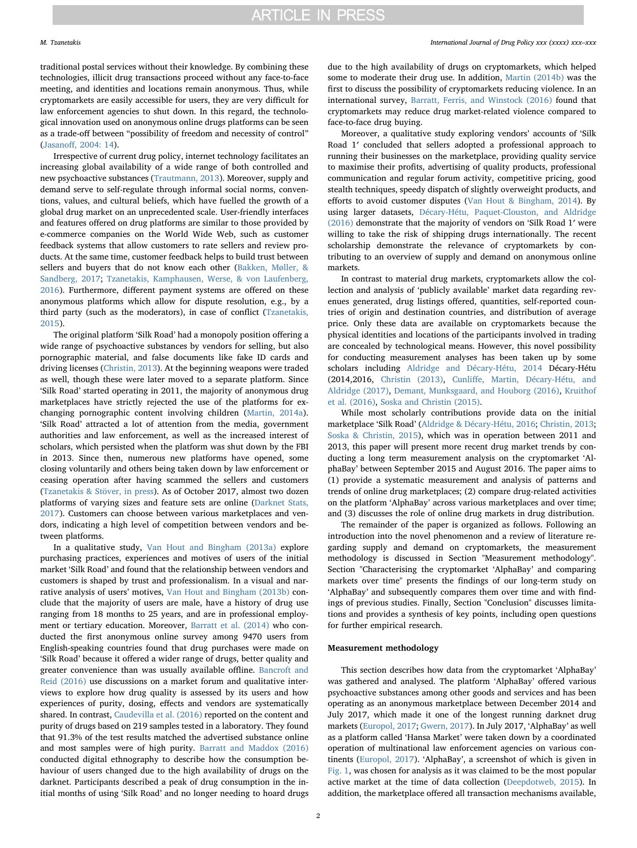traditional postal services without their knowledge. By combining these technologies, illicit drug transactions proceed without any face-to-face meeting, and identities and locations remain anonymous. Thus, while cryptomarkets are easily accessible for users, they are very difficult for law enforcement agencies to shut down. In this regard, the technological innovation used on anonymous online drugs platforms can be seen as a trade-off between "possibility of freedom and necessity of control" (Jasanoff[, 2004: 14](#page-10-1)).

Irrespective of current drug policy, internet technology facilitates an increasing global availability of a wide range of both controlled and new psychoactive substances ([Trautmann, 2013](#page-10-2)). Moreover, supply and demand serve to self-regulate through informal social norms, conventions, values, and cultural beliefs, which have fuelled the growth of a global drug market on an unprecedented scale. User-friendly interfaces and features offered on drug platforms are similar to those provided by e-commerce companies on the World Wide Web, such as customer feedback systems that allow customers to rate sellers and review products. At the same time, customer feedback helps to build trust between sellers and buyers that do not know each other [\(Bakken, Møller, &](#page-9-2) [Sandberg, 2017](#page-9-2); [Tzanetakis, Kamphausen, Werse, & von Laufenberg,](#page-10-3) [2016\)](#page-10-3). Furthermore, different payment systems are offered on these anonymous platforms which allow for dispute resolution, e.g., by a third party (such as the moderators), in case of conflict ([Tzanetakis,](#page-10-4) [2015\)](#page-10-4).

The original platform 'Silk Road' had a monopoly position offering a wide range of psychoactive substances by vendors for selling, but also pornographic material, and false documents like fake ID cards and driving licenses ([Christin, 2013\)](#page-9-3). At the beginning weapons were traded as well, though these were later moved to a separate platform. Since 'Silk Road' started operating in 2011, the majority of anonymous drug marketplaces have strictly rejected the use of the platforms for exchanging pornographic content involving children ([Martin, 2014a](#page-10-0)). 'Silk Road' attracted a lot of attention from the media, government authorities and law enforcement, as well as the increased interest of scholars, which persisted when the platform was shut down by the FBI in 2013. Since then, numerous new platforms have opened, some closing voluntarily and others being taken down by law enforcement or ceasing operation after having scammed the sellers and customers ([Tzanetakis & Stöver, in press\)](#page-10-5). As of October 2017, almost two dozen platforms of varying sizes and feature sets are online [\(Darknet Stats,](#page-9-4) [2017\)](#page-9-4). Customers can choose between various marketplaces and vendors, indicating a high level of competition between vendors and between platforms.

In a qualitative study, [Van Hout and Bingham \(2013a\)](#page-10-6) explore purchasing practices, experiences and motives of users of the initial market 'Silk Road' and found that the relationship between vendors and customers is shaped by trust and professionalism. In a visual and narrative analysis of users' motives, Van [Hout and Bingham \(2013b\)](#page-10-7) conclude that the majority of users are male, have a history of drug use ranging from 18 months to 25 years, and are in professional employment or tertiary education. Moreover, [Barratt et al. \(2014\)](#page-9-1) who conducted the first anonymous online survey among 9470 users from English-speaking countries found that drug purchases were made on 'Silk Road' because it offered a wider range of drugs, better quality and greater convenience than was usually available offline. [Bancroft and](#page-9-5) [Reid \(2016\)](#page-9-5) use discussions on a market forum and qualitative interviews to explore how drug quality is assessed by its users and how experiences of purity, dosing, effects and vendors are systematically shared. In contrast, [Caudevilla et al. \(2016\)](#page-9-6) reported on the content and purity of drugs based on 219 samples tested in a laboratory. They found that 91.3% of the test results matched the advertised substance online and most samples were of high purity. [Barratt and Maddox \(2016\)](#page-9-7) conducted digital ethnography to describe how the consumption behaviour of users changed due to the high availability of drugs on the darknet. Participants described a peak of drug consumption in the initial months of using 'Silk Road' and no longer needing to hoard drugs

### M. Tzanetakis *International Journal of Drug Policy xxx (xxxx) xxx–xxx*

due to the high availability of drugs on cryptomarkets, which helped some to moderate their drug use. In addition, [Martin \(2014b\)](#page-10-8) was the first to discuss the possibility of cryptomarkets reducing violence. In an international survey, [Barratt, Ferris, and Winstock \(2016\)](#page-9-8) found that cryptomarkets may reduce drug market-related violence compared to face-to-face drug buying.

Moreover, a qualitative study exploring vendors' accounts of 'Silk Road 1′ concluded that sellers adopted a professional approach to running their businesses on the marketplace, providing quality service to maximise their profits, advertising of quality products, professional communication and regular forum activity, competitive pricing, good stealth techniques, speedy dispatch of slightly overweight products, and efforts to avoid customer disputes [\(Van Hout & Bingham, 2014\)](#page-10-9). By using larger datasets, [Décary-Hétu, Paquet-Clouston, and Aldridge](#page-9-9) [\(2016\)](#page-9-9) demonstrate that the majority of vendors on 'Silk Road 1′ were willing to take the risk of shipping drugs internationally. The recent scholarship demonstrate the relevance of cryptomarkets by contributing to an overview of supply and demand on anonymous online markets.

In contrast to material drug markets, cryptomarkets allow the collection and analysis of 'publicly available' market data regarding revenues generated, drug listings offered, quantities, self-reported countries of origin and destination countries, and distribution of average price. Only these data are available on cryptomarkets because the physical identities and locations of the participants involved in trading are concealed by technological means. However, this novel possibility for conducting measurement analyses has been taken up by some scholars including [Aldridge and Décary-Hétu, 2014](#page-9-10) Décary-Hétu (2014,2016, [Christin](#page-9-3) (2013), Cunliff[e, Martin, Décary-Hétu, and](#page-9-11) [Aldridge \(2017\),](#page-9-11) [Demant, Munksgaard, and Houborg \(2016\)](#page-10-10), [Kruithof](#page-10-11) [et al. \(2016\)](#page-10-11), [Soska and Christin \(2015\).](#page-10-12)

While most scholarly contributions provide data on the initial marketplace 'Silk Road' [\(Aldridge & Décary-Hétu, 2016;](#page-9-12) [Christin, 2013](#page-9-3); [Soska & Christin, 2015\)](#page-10-12), which was in operation between 2011 and 2013, this paper will present more recent drug market trends by conducting a long term measurement analysis on the cryptomarket 'AlphaBay' between September 2015 and August 2016. The paper aims to (1) provide a systematic measurement and analysis of patterns and trends of online drug marketplaces; (2) compare drug-related activities on the platform 'AlphaBay' across various marketplaces and over time; and (3) discusses the role of online drug markets in drug distribution.

The remainder of the paper is organized as follows. Following an introduction into the novel phenomenon and a review of literature regarding supply and demand on cryptomarkets, the measurement methodology is discussed in Section "Measurement methodology". Section "Characterising the cryptomarket 'AlphaBay' and comparing markets over time" presents the findings of our long-term study on 'AlphaBay' and subsequently compares them over time and with findings of previous studies. Finally, Section "Conclusion" discusses limitations and provides a synthesis of key points, including open questions for further empirical research.

## Measurement methodology

This section describes how data from the cryptomarket 'AlphaBay' was gathered and analysed. The platform 'AlphaBay' offered various psychoactive substances among other goods and services and has been operating as an anonymous marketplace between December 2014 and July 2017, which made it one of the longest running darknet drug markets [\(Europol, 2017](#page-10-13); [Gwern, 2017\)](#page-10-14). In July 2017, 'AlphaBay' as well as a platform called 'Hansa Market' were taken down by a coordinated operation of multinational law enforcement agencies on various continents [\(Europol, 2017](#page-10-13)). 'AlphaBay', a screenshot of which is given in [Fig.](#page-2-0) 1, was chosen for analysis as it was claimed to be the most popular active market at the time of data collection [\(Deepdotweb, 2015\)](#page-9-13). In addition, the marketplace offered all transaction mechanisms available,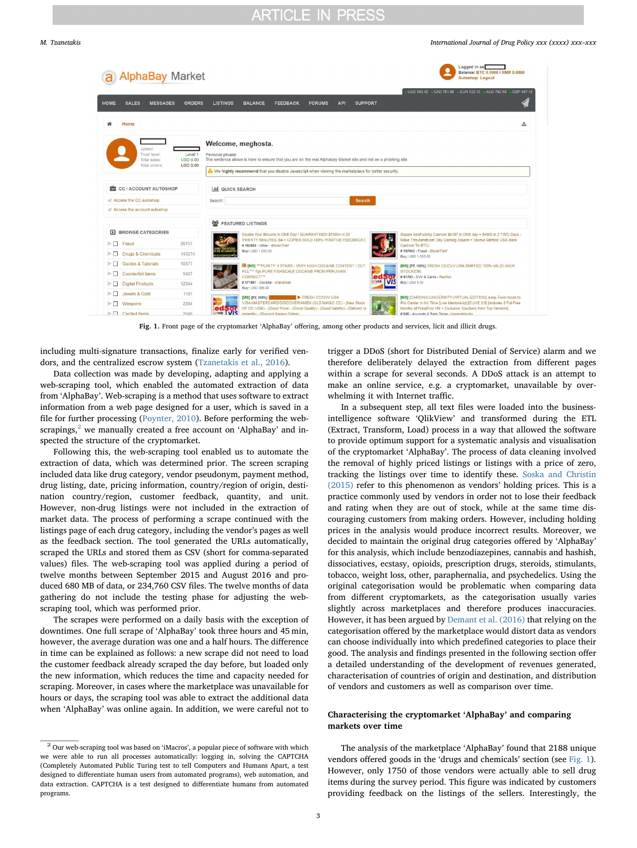### <span id="page-2-0"></span>M. Tzanetakis *International Journal of Drug Policy xxx (xxxx) xxx–xxx*



Fig. 1. Front page of the cryptomarket 'AlphaBay' offering, among other products and services, licit and illicit drugs.

including multi-signature transactions, finalize early for verified vendors, and the centralized escrow system [\(Tzanetakis et al., 2016](#page-10-3)).

Data collection was made by developing, adapting and applying a web-scraping tool, which enabled the automated extraction of data from 'AlphaBay'. Web-scraping is a method that uses software to extract information from a web page designed for a user, which is saved in a file for further processing [\(Poynter, 2010](#page-10-15)). Before performing the webscrapings, $^2$  $^2$  we manually created a free account on 'AlphaBay' and inspected the structure of the cryptomarket.

Following this, the web-scraping tool enabled us to automate the extraction of data, which was determined prior. The screen scraping included data like drug category, vendor pseudonym, payment method, drug listing, date, pricing information, country/region of origin, destination country/region, customer feedback, quantity, and unit. However, non-drug listings were not included in the extraction of market data. The process of performing a scrape continued with the listings page of each drug category, including the vendor's pages as well as the feedback section. The tool generated the URLs automatically, scraped the URLs and stored them as CSV (short for comma-separated values) files. The web-scraping tool was applied during a period of twelve months between September 2015 and August 2016 and produced 680 MB of data, or 234,760 CSV files. The twelve months of data gathering do not include the testing phase for adjusting the webscraping tool, which was performed prior.

The scrapes were performed on a daily basis with the exception of downtimes. One full scrape of 'AlphaBay' took three hours and 45 min, however, the average duration was one and a half hours. The difference in time can be explained as follows: a new scrape did not need to load the customer feedback already scraped the day before, but loaded only the new information, which reduces the time and capacity needed for scraping. Moreover, in cases where the marketplace was unavailable for hours or days, the scraping tool was able to extract the additional data when 'AlphaBay' was online again. In addition, we were careful not to

trigger a DDoS (short for Distributed Denial of Service) alarm and we therefore deliberately delayed the extraction from different pages within a scrape for several seconds. A DDoS attack is an attempt to make an online service, e.g. a cryptomarket, unavailable by overwhelming it with Internet traffic.

In a subsequent step, all text files were loaded into the businessintelligence software 'QlikView' and transformed during the ETL (Extract, Transform, Load) process in a way that allowed the software to provide optimum support for a systematic analysis and visualisation of the cryptomarket 'AlphaBay'. The process of data cleaning involved the removal of highly priced listings or listings with a price of zero, tracking the listings over time to identify these. [Soska and Christin](#page-10-12) [\(2015\)](#page-10-12) refer to this phenomenon as vendors' holding prices. This is a practice commonly used by vendors in order not to lose their feedback and rating when they are out of stock, while at the same time discouraging customers from making orders. However, including holding prices in the analysis would produce incorrect results. Moreover, we decided to maintain the original drug categories offered by 'AlphaBay' for this analysis, which include benzodiazepines, cannabis and hashish, dissociatives, ecstasy, opioids, prescription drugs, steroids, stimulants, tobacco, weight loss, other, paraphernalia, and psychedelics. Using the original categorisation would be problematic when comparing data from different cryptomarkets, as the categorisation usually varies slightly across marketplaces and therefore produces inaccuracies. However, it has been argued by [Demant et al. \(2016\)](#page-10-10) that relying on the categorisation offered by the marketplace would distort data as vendors can choose individually into which predefined categories to place their good. The analysis and findings presented in the following section offer a detailed understanding of the development of revenues generated, characterisation of countries of origin and destination, and distribution of vendors and customers as well as comparison over time.

## Characterising the cryptomarket 'AlphaBay' and comparing markets over time

The analysis of the marketplace 'AlphaBay' found that 2188 unique vendors offered goods in the 'drugs and chemicals' section (see [Fig. 1](#page-2-0)). However, only 1750 of those vendors were actually able to sell drug items during the survey period. This figure was indicated by customers providing feedback on the listings of the sellers. Interestingly, the

<span id="page-2-1"></span> $^2$  Our web-scraping tool was based on 'iMacros', a popular piece of software with which we were able to run all processes automatically: logging in, solving the CAPTCHA (Completely Automated Public Turing test to tell Computers and Humans Apart, a test designed to differentiate human users from automated programs), web automation, and data extraction. CAPTCHA is a test designed to differentiate humans from automated programs.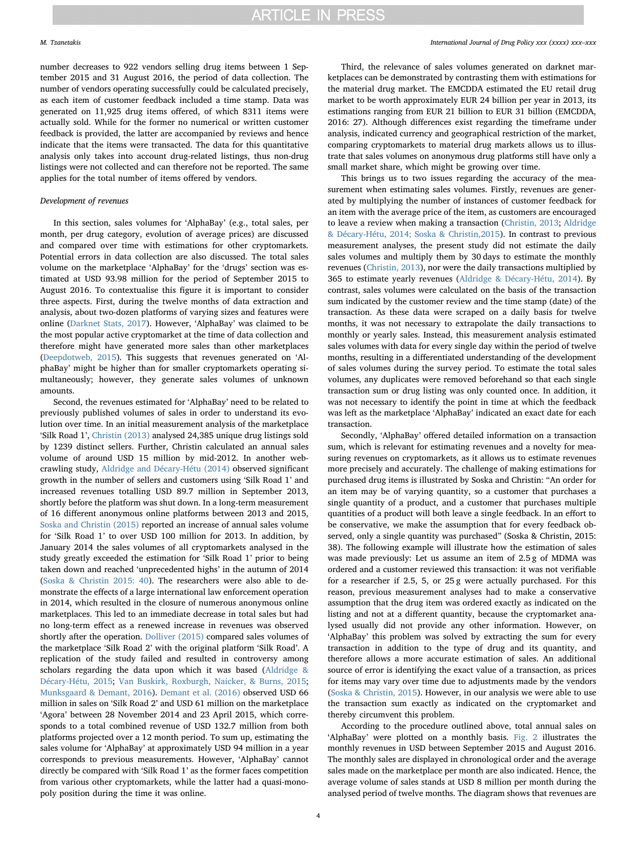number decreases to 922 vendors selling drug items between 1 September 2015 and 31 August 2016, the period of data collection. The number of vendors operating successfully could be calculated precisely, as each item of customer feedback included a time stamp. Data was generated on 11,925 drug items offered, of which 8311 items were actually sold. While for the former no numerical or written customer feedback is provided, the latter are accompanied by reviews and hence indicate that the items were transacted. The data for this quantitative analysis only takes into account drug-related listings, thus non-drug listings were not collected and can therefore not be reported. The same applies for the total number of items offered by vendors.

## Development of revenues

In this section, sales volumes for 'AlphaBay' (e.g., total sales, per month, per drug category, evolution of average prices) are discussed and compared over time with estimations for other cryptomarkets. Potential errors in data collection are also discussed. The total sales volume on the marketplace 'AlphaBay' for the 'drugs' section was estimated at USD 93.98 million for the period of September 2015 to August 2016. To contextualise this figure it is important to consider three aspects. First, during the twelve months of data extraction and analysis, about two-dozen platforms of varying sizes and features were online ([Darknet Stats, 2017\)](#page-9-4). However, 'AlphaBay' was claimed to be the most popular active cryptomarket at the time of data collection and therefore might have generated more sales than other marketplaces ([Deepdotweb, 2015\)](#page-9-13). This suggests that revenues generated on 'AlphaBay' might be higher than for smaller cryptomarkets operating simultaneously; however, they generate sales volumes of unknown amounts.

Second, the revenues estimated for 'AlphaBay' need to be related to previously published volumes of sales in order to understand its evolution over time. In an initial measurement analysis of the marketplace 'Silk Road 1', [Christin \(2013\)](#page-9-3) analysed 24,385 unique drug listings sold by 1239 distinct sellers. Further, Christin calculated an annual sales volume of around USD 15 million by mid-2012. In another webcrawling study, [Aldridge and Décary-Hétu \(2014\)](#page-9-10) observed significant growth in the number of sellers and customers using 'Silk Road 1' and increased revenues totalling USD 89.7 million in September 2013, shortly before the platform was shut down. In a long-term measurement of 16 different anonymous online platforms between 2013 and 2015, [Soska and Christin \(2015\)](#page-10-12) reported an increase of annual sales volume for 'Silk Road 1' to over USD 100 million for 2013. In addition, by January 2014 the sales volumes of all cryptomarkets analysed in the study greatly exceeded the estimation for 'Silk Road 1' prior to being taken down and reached 'unprecedented highs' in the autumn of 2014 ([Soska & Christin 2015: 40](#page-10-12)). The researchers were also able to demonstrate the effects of a large international law enforcement operation in 2014, which resulted in the closure of numerous anonymous online marketplaces. This led to an immediate decrease in total sales but had no long-term effect as a renewed increase in revenues was observed shortly after the operation. [Dolliver \(2015\)](#page-10-16) compared sales volumes of the marketplace 'Silk Road 2' with the original platform 'Silk Road'. A replication of the study failed and resulted in controversy among scholars regarding the data upon which it was based [\(Aldridge &](#page-9-14) [Décary-Hétu, 2015](#page-9-14); [Van Buskirk, Roxburgh, Naicker, & Burns, 2015](#page-10-17); [Munksgaard & Demant, 2016](#page-10-18)). [Demant et al. \(2016\)](#page-10-10) observed USD 66 million in sales on 'Silk Road 2' and USD 61 million on the marketplace 'Agora' between 28 November 2014 and 23 April 2015, which corresponds to a total combined revenue of USD 132.7 million from both platforms projected over a 12 month period. To sum up, estimating the sales volume for 'AlphaBay' at approximately USD 94 million in a year corresponds to previous measurements. However, 'AlphaBay' cannot directly be compared with 'Silk Road 1' as the former faces competition from various other cryptomarkets, while the latter had a quasi-monopoly position during the time it was online.

## M. Tzanetakis *International Journal of Drug Policy xxx (xxxx) xxx–xxx*

Third, the relevance of sales volumes generated on darknet marketplaces can be demonstrated by contrasting them with estimations for the material drug market. The EMCDDA estimated the EU retail drug market to be worth approximately EUR 24 billion per year in 2013, its estimations ranging from EUR 21 billion to EUR 31 billion (EMCDDA, 2016: 27). Although differences exist regarding the timeframe under analysis, indicated currency and geographical restriction of the market, comparing cryptomarkets to material drug markets allows us to illustrate that sales volumes on anonymous drug platforms still have only a small market share, which might be growing over time.

This brings us to two issues regarding the accuracy of the measurement when estimating sales volumes. Firstly, revenues are generated by multiplying the number of instances of customer feedback for an item with the average price of the item, as customers are encouraged to leave a review when making a transaction ([Christin, 2013;](#page-9-3) [Aldridge](#page-9-10) [& Décary-Hétu, 2014; Soska & Christin,2015\)](#page-9-10). In contrast to previous measurement analyses, the present study did not estimate the daily sales volumes and multiply them by 30 days to estimate the monthly revenues ([Christin, 2013\)](#page-9-3), nor were the daily transactions multiplied by 365 to estimate yearly revenues ([Aldridge & Décary-Hétu, 2014](#page-9-10)). By contrast, sales volumes were calculated on the basis of the transaction sum indicated by the customer review and the time stamp (date) of the transaction. As these data were scraped on a daily basis for twelve months, it was not necessary to extrapolate the daily transactions to monthly or yearly sales. Instead, this measurement analysis estimated sales volumes with data for every single day within the period of twelve months, resulting in a differentiated understanding of the development of sales volumes during the survey period. To estimate the total sales volumes, any duplicates were removed beforehand so that each single transaction sum or drug listing was only counted once. In addition, it was not necessary to identify the point in time at which the feedback was left as the marketplace 'AlphaBay' indicated an exact date for each transaction.

Secondly, 'AlphaBay' offered detailed information on a transaction sum, which is relevant for estimating revenues and a novelty for measuring revenues on cryptomarkets, as it allows us to estimate revenues more precisely and accurately. The challenge of making estimations for purchased drug items is illustrated by Soska and Christin: "An order for an item may be of varying quantity, so a customer that purchases a single quantity of a product, and a customer that purchases multiple quantities of a product will both leave a single feedback. In an effort to be conservative, we make the assumption that for every feedback observed, only a single quantity was purchased" (Soska & Christin, 2015: 38). The following example will illustrate how the estimation of sales was made previously: Let us assume an item of 2.5 g of MDMA was ordered and a customer reviewed this transaction: it was not verifiable for a researcher if 2.5, 5, or 25 g were actually purchased. For this reason, previous measurement analyses had to make a conservative assumption that the drug item was ordered exactly as indicated on the listing and not at a different quantity, because the cryptomarket analysed usually did not provide any other information. However, on 'AlphaBay' this problem was solved by extracting the sum for every transaction in addition to the type of drug and its quantity, and therefore allows a more accurate estimation of sales. An additional source of error is identifying the exact value of a transaction, as prices for items may vary over time due to adjustments made by the vendors ([Soska & Christin, 2015](#page-10-12)). However, in our analysis we were able to use the transaction sum exactly as indicated on the cryptomarket and thereby circumvent this problem.

According to the procedure outlined above, total annual sales on 'AlphaBay' were plotted on a monthly basis. [Fig. 2](#page-4-0) illustrates the monthly revenues in USD between September 2015 and August 2016. The monthly sales are displayed in chronological order and the average sales made on the marketplace per month are also indicated. Hence, the average volume of sales stands at USD 8 million per month during the analysed period of twelve months. The diagram shows that revenues are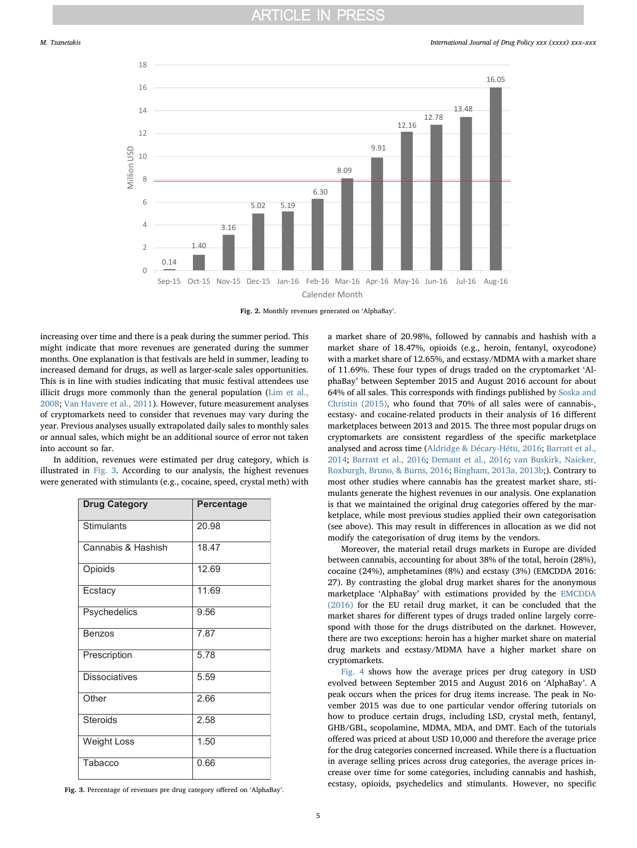<span id="page-4-0"></span>

Fig. 2. Monthly revenues generated on 'AlphaBay'.

increasing over time and there is a peak during the summer period. This might indicate that more revenues are generated during the summer months. One explanation is that festivals are held in summer, leading to increased demand for drugs, as well as larger-scale sales opportunities. This is in line with studies indicating that music festival attendees use illicit drugs more commonly than the general population [\(Lim et al.,](#page-10-19) [2008;](#page-10-19) [Van Havere et al., 2011\)](#page-10-20). However, future measurement analyses of cryptomarkets need to consider that revenues may vary during the year. Previous analyses usually extrapolated daily sales to monthly sales or annual sales, which might be an additional source of error not taken into account so far.

In addition, revenues were estimated per drug category, which is illustrated in [Fig. 3.](#page-4-1) According to our analysis, the highest revenues were generated with stimulants (e.g., cocaine, speed, crystal meth) with

<span id="page-4-1"></span>

| <b>Drug Category</b> | Percentage |
|----------------------|------------|
| Stimulants           | 20.98      |
| Cannabis & Hashish   | 18.47      |
| Opioids              | 12.69      |
| Ecstacy              | 11.69      |
| Psychedelics         | 9.56       |
| <b>Benzos</b>        | 7.87       |
| Prescription         | 5.78       |
| <b>Dissociatives</b> | 5.59       |
| Other                | 2.66       |
| <b>Steroids</b>      | 2.58       |
| <b>Weight Loss</b>   | 1.50       |
| Tabacco              | 0.66       |

Fig. 3. Percentage of revenues pre drug category offered on 'AlphaBay'.

a market share of 20.98%, followed by cannabis and hashish with a market share of 18.47%, opioids (e.g., heroin, fentanyl, oxycodone) with a market share of 12.65%, and ecstasy/MDMA with a market share of 11.69%. These four types of drugs traded on the cryptomarket 'AlphaBay' between September 2015 and August 2016 account for about 64% of all sales. This corresponds with findings published by [Soska and](#page-10-12) [Christin \(2015\)](#page-10-12), who found that 70% of all sales were of cannabis-, ecstasy- and cocaine-related products in their analysis of 16 different marketplaces between 2013 and 2015. The three most popular drugs on cryptomarkets are consistent regardless of the specific marketplace analysed and across time ([Aldridge & Décary-Hétu, 2016;](#page-9-12) [Barratt et al.,](#page-9-1) [2014;](#page-9-1) [Barratt et al., 2016;](#page-9-8) [Demant et al., 2016;](#page-10-10) [van Buskirk, Naicker,](#page-10-21) [Roxburgh, Bruno, & Burns, 2016](#page-10-21); [Bingham, 2013a, 2013b](#page-10-6);). Contrary to most other studies where cannabis has the greatest market share, stimulants generate the highest revenues in our analysis. One explanation is that we maintained the original drug categories offered by the marketplace, while most previous studies applied their own categorisation (see above). This may result in differences in allocation as we did not modify the categorisation of drug items by the vendors.

Moreover, the material retail drugs markets in Europe are divided between cannabis, accounting for about 38% of the total, heroin (28%), cocaine (24%), amphetamines (8%) and ecstasy (3%) (EMCDDA 2016: 27). By contrasting the global drug market shares for the anonymous marketplace 'AlphaBay' with estimations provided by the [EMCDDA](#page-10-22) [\(2016\)](#page-10-22) for the EU retail drug market, it can be concluded that the market shares for different types of drugs traded online largely correspond with those for the drugs distributed on the darknet. However, there are two exceptions: heroin has a higher market share on material drug markets and ecstasy/MDMA have a higher market share on cryptomarkets.

[Fig. 4](#page-5-0) shows how the average prices per drug category in USD evolved between September 2015 and August 2016 on 'AlphaBay'. A peak occurs when the prices for drug items increase. The peak in November 2015 was due to one particular vendor offering tutorials on how to produce certain drugs, including LSD, crystal meth, fentanyl, GHB/GBL, scopolamine, MDMA, MDA, and DMT. Each of the tutorials offered was priced at about USD 10,000 and therefore the average price for the drug categories concerned increased. While there is a fluctuation in average selling prices across drug categories, the average prices increase over time for some categories, including cannabis and hashish, ecstasy, opioids, psychedelics and stimulants. However, no specific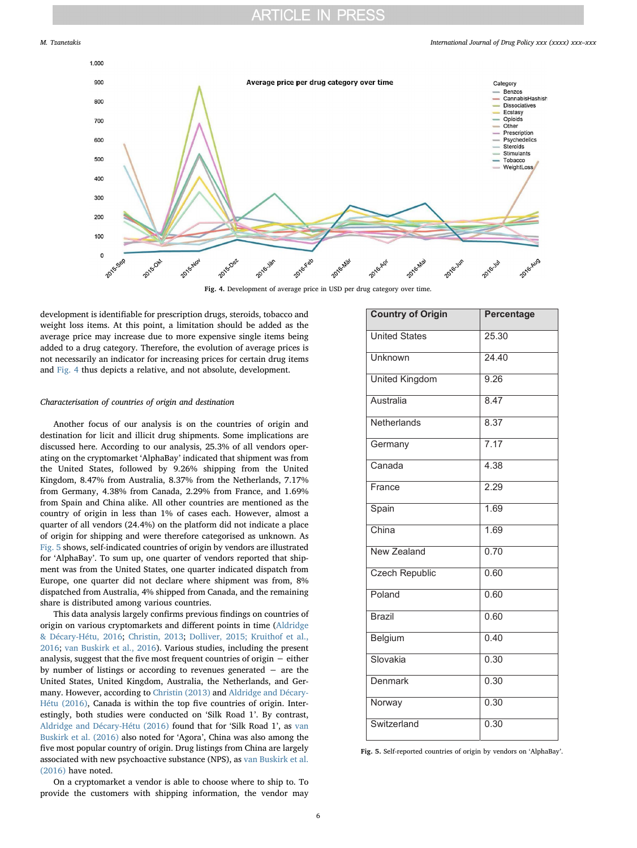<span id="page-5-0"></span>

Fig. 4. Development of average price in USD per drug category over time.

development is identifiable for prescription drugs, steroids, tobacco and weight loss items. At this point, a limitation should be added as the average price may increase due to more expensive single items being added to a drug category. Therefore, the evolution of average prices is not necessarily an indicator for increasing prices for certain drug items and [Fig. 4](#page-5-0) thus depicts a relative, and not absolute, development.

## Characterisation of countries of origin and destination

Another focus of our analysis is on the countries of origin and destination for licit and illicit drug shipments. Some implications are discussed here. According to our analysis, 25.3% of all vendors operating on the cryptomarket 'AlphaBay' indicated that shipment was from the United States, followed by 9.26% shipping from the United Kingdom, 8.47% from Australia, 8.37% from the Netherlands, 7.17% from Germany, 4.38% from Canada, 2.29% from France, and 1.69% from Spain and China alike. All other countries are mentioned as the country of origin in less than 1% of cases each. However, almost a quarter of all vendors (24.4%) on the platform did not indicate a place of origin for shipping and were therefore categorised as unknown. As [Fig. 5](#page-5-1) shows, self-indicated countries of origin by vendors are illustrated for 'AlphaBay'. To sum up, one quarter of vendors reported that shipment was from the United States, one quarter indicated dispatch from Europe, one quarter did not declare where shipment was from, 8% dispatched from Australia, 4% shipped from Canada, and the remaining share is distributed among various countries.

This data analysis largely confirms previous findings on countries of origin on various cryptomarkets and different points in time [\(Aldridge](#page-9-12) [& Décary-Hétu, 2016](#page-9-12); [Christin, 2013;](#page-9-3) [Dolliver, 2015; Kruithof et al.,](#page-10-16) [2016;](#page-10-16) [van Buskirk et al., 2016](#page-10-21)). Various studies, including the present analysis, suggest that the five most frequent countries of origin − either by number of listings or according to revenues generated − are the United States, United Kingdom, Australia, the Netherlands, and Germany. However, according to [Christin \(2013\)](#page-9-3) and [Aldridge and Décary-](#page-9-12)[Hétu \(2016\),](#page-9-12) Canada is within the top five countries of origin. Interestingly, both studies were conducted on 'Silk Road 1'. By contrast, [Aldridge and Décary-Hétu \(2016\)](#page-9-12) found that for 'Silk Road 1', as [van](#page-10-21) [Buskirk et al. \(2016\)](#page-10-21) also noted for 'Agora', China was also among the five most popular country of origin. Drug listings from China are largely associated with new psychoactive substance (NPS), as [van Buskirk et al.](#page-10-21) [\(2016\)](#page-10-21) have noted.

On a cryptomarket a vendor is able to choose where to ship to. To provide the customers with shipping information, the vendor may

<span id="page-5-1"></span>

| <b>Country of Origin</b> | Percentage |
|--------------------------|------------|
| <b>United States</b>     | 25.30      |
| Unknown                  | 24.40      |
| <b>United Kingdom</b>    | 9.26       |
| Australia                | 8.47       |
| Netherlands              | 8.37       |
| Germany                  | 7.17       |
| Canada                   | 4.38       |
| France                   | 2.29       |
| Spain                    | 1.69       |
| China                    | 1.69       |
| <b>New Zealand</b>       | 0.70       |
| <b>Czech Republic</b>    | 0.60       |
| Poland                   | 0.60       |
| <b>Brazil</b>            | 0.60       |
| Belgium                  | 0.40       |
| Slovakia                 | 0.30       |
| Denmark                  | 0.30       |
| Norway                   | 0.30       |
| Switzerland              | 0.30       |

Fig. 5. Self-reported countries of origin by vendors on 'AlphaBay'.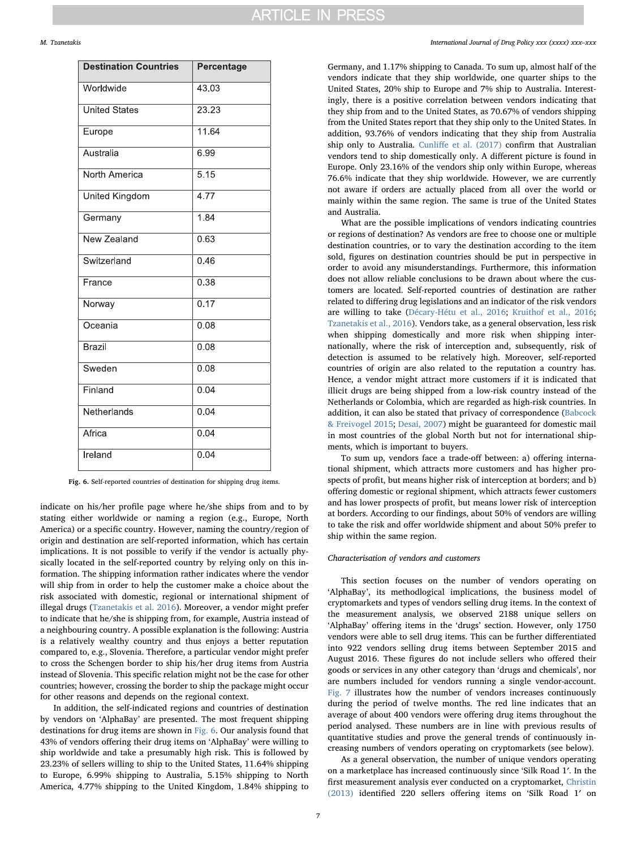| <b>Destination Countries</b> | Percentage |
|------------------------------|------------|
| Worldwide                    | 43.03      |
| <b>United States</b>         | 23.23      |
| Europe                       | 11.64      |
| Australia                    | 6.99       |
| North America                | 5.15       |
| <b>United Kingdom</b>        | 4.77       |
| Germany                      | 1.84       |
| New Zealand                  | 0.63       |
| Switzerland                  | 0.46       |
| France                       | 0.38       |
| Norway                       | 0.17       |
| Oceania                      | 0.08       |
| <b>Brazil</b>                | 0.08       |
| Sweden                       | 0.08       |
| Finland                      | 0.04       |
| Netherlands                  | 0.04       |
| Africa                       | 0.04       |
| Ireland                      | 0.04       |

Fig. 6. Self-reported countries of destination for shipping drug items.

indicate on his/her profile page where he/she ships from and to by stating either worldwide or naming a region (e.g., Europe, North America) or a specific country. However, naming the country/region of origin and destination are self-reported information, which has certain implications. It is not possible to verify if the vendor is actually physically located in the self-reported country by relying only on this information. The shipping information rather indicates where the vendor will ship from in order to help the customer make a choice about the risk associated with domestic, regional or international shipment of illegal drugs ([Tzanetakis et al. 2016\)](#page-10-3). Moreover, a vendor might prefer to indicate that he/she is shipping from, for example, Austria instead of a neighbouring country. A possible explanation is the following: Austria is a relatively wealthy country and thus enjoys a better reputation compared to, e.g., Slovenia. Therefore, a particular vendor might prefer to cross the Schengen border to ship his/her drug items from Austria instead of Slovenia. This specific relation might not be the case for other countries; however, crossing the border to ship the package might occur for other reasons and depends on the regional context.

In addition, the self-indicated regions and countries of destination by vendors on 'AlphaBay' are presented. The most frequent shipping destinations for drug items are shown in [Fig. 6.](#page-6-0) Our analysis found that 43% of vendors offering their drug items on 'AlphaBay' were willing to ship worldwide and take a presumably high risk. This is followed by 23.23% of sellers willing to ship to the United States, 11.64% shipping to Europe, 6.99% shipping to Australia, 5.15% shipping to North America, 4.77% shipping to the United Kingdom, 1.84% shipping to

### <span id="page-6-0"></span>M. Tzanetakis *International Journal of Drug Policy xxx (xxxx) xxx–xxx*

Germany, and 1.17% shipping to Canada. To sum up, almost half of the vendors indicate that they ship worldwide, one quarter ships to the United States, 20% ship to Europe and 7% ship to Australia. Interestingly, there is a positive correlation between vendors indicating that they ship from and to the United States, as 70.67% of vendors shipping from the United States report that they ship only to the United States. In addition, 93.76% of vendors indicating that they ship from Australia ship only to Australia. Cunliff[e et al. \(2017\)](#page-9-11) confirm that Australian vendors tend to ship domestically only. A different picture is found in Europe. Only 23.16% of the vendors ship only within Europe, whereas 76.6% indicate that they ship worldwide. However, we are currently not aware if orders are actually placed from all over the world or mainly within the same region. The same is true of the United States and Australia.

What are the possible implications of vendors indicating countries or regions of destination? As vendors are free to choose one or multiple destination countries, or to vary the destination according to the item sold, figures on destination countries should be put in perspective in order to avoid any misunderstandings. Furthermore, this information does not allow reliable conclusions to be drawn about where the customers are located. Self-reported countries of destination are rather related to differing drug legislations and an indicator of the risk vendors are willing to take [\(Décary-Hétu et al., 2016](#page-9-9); [Kruithof et al., 2016](#page-10-11); [Tzanetakis et al., 2016](#page-10-3)). Vendors take, as a general observation, less risk when shipping domestically and more risk when shipping internationally, where the risk of interception and, subsequently, risk of detection is assumed to be relatively high. Moreover, self-reported countries of origin are also related to the reputation a country has. Hence, a vendor might attract more customers if it is indicated that illicit drugs are being shipped from a low-risk country instead of the Netherlands or Colombia, which are regarded as high-risk countries. In addition, it can also be stated that privacy of correspondence [\(Babcock](#page-9-15) [& Freivogel 2015;](#page-9-15) [Desai, 2007](#page-10-23)) might be guaranteed for domestic mail in most countries of the global North but not for international shipments, which is important to buyers.

To sum up, vendors face a trade-off between: a) offering international shipment, which attracts more customers and has higher prospects of profit, but means higher risk of interception at borders; and b) offering domestic or regional shipment, which attracts fewer customers and has lower prospects of profit, but means lower risk of interception at borders. According to our findings, about 50% of vendors are willing to take the risk and offer worldwide shipment and about 50% prefer to ship within the same region.

## Characterisation of vendors and customers

This section focuses on the number of vendors operating on 'AlphaBay', its methodlogical implications, the business model of cryptomarkets and types of vendors selling drug items. In the context of the measurement analysis, we observed 2188 unique sellers on 'AlphaBay' offering items in the 'drugs' section. However, only 1750 vendors were able to sell drug items. This can be further differentiated into 922 vendors selling drug items between September 2015 and August 2016. These figures do not include sellers who offered their goods or services in any other category than 'drugs and chemicals', nor are numbers included for vendors running a single vendor-account. [Fig. 7](#page-7-0) illustrates how the number of vendors increases continuously during the period of twelve months. The red line indicates that an average of about 400 vendors were offering drug items throughout the period analysed. These numbers are in line with previous results of quantitative studies and prove the general trends of continuously increasing numbers of vendors operating on cryptomarkets (see below).

As a general observation, the number of unique vendors operating on a marketplace has increased continuously since 'Silk Road 1′. In the first measurement analysis ever conducted on a cryptomarket, [Christin](#page-9-3) [\(2013\)](#page-9-3) identified 220 sellers offering items on 'Silk Road 1′ on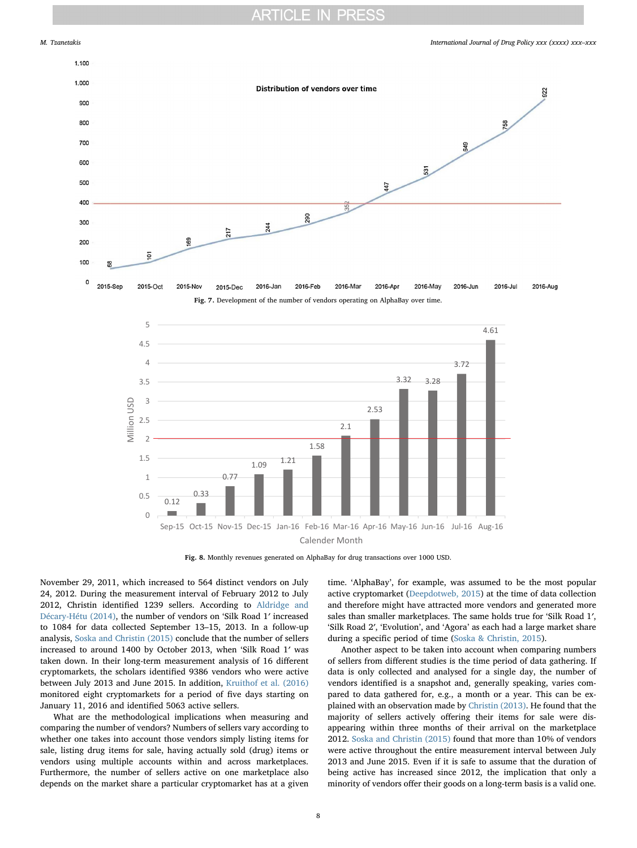<span id="page-7-0"></span>

<span id="page-7-1"></span>

Fig. 8. Monthly revenues generated on AlphaBay for drug transactions over 1000 USD.

November 29, 2011, which increased to 564 distinct vendors on July 24, 2012. During the measurement interval of February 2012 to July 2012, Christin identified 1239 sellers. According to [Aldridge and](#page-9-10) [Décary-Hétu \(2014\)](#page-9-10), the number of vendors on 'Silk Road 1′ increased to 1084 for data collected September 13–15, 2013. In a follow-up analysis, [Soska and Christin \(2015\)](#page-10-12) conclude that the number of sellers increased to around 1400 by October 2013, when 'Silk Road 1′ was taken down. In their long-term measurement analysis of 16 different cryptomarkets, the scholars identified 9386 vendors who were active between July 2013 and June 2015. In addition, [Kruithof et al. \(2016\)](#page-10-11) monitored eight cryptomarkets for a period of five days starting on January 11, 2016 and identified 5063 active sellers.

What are the methodological implications when measuring and comparing the number of vendors? Numbers of sellers vary according to whether one takes into account those vendors simply listing items for sale, listing drug items for sale, having actually sold (drug) items or vendors using multiple accounts within and across marketplaces. Furthermore, the number of sellers active on one marketplace also depends on the market share a particular cryptomarket has at a given

time. 'AlphaBay', for example, was assumed to be the most popular active cryptomarket ([Deepdotweb, 2015](#page-9-13)) at the time of data collection and therefore might have attracted more vendors and generated more sales than smaller marketplaces. The same holds true for 'Silk Road 1′, 'Silk Road 2′, 'Evolution', and 'Agora' as each had a large market share during a specific period of time ([Soska & Christin, 2015](#page-10-12)).

Another aspect to be taken into account when comparing numbers of sellers from different studies is the time period of data gathering. If data is only collected and analysed for a single day, the number of vendors identified is a snapshot and, generally speaking, varies compared to data gathered for, e.g., a month or a year. This can be explained with an observation made by [Christin \(2013\)](#page-9-3). He found that the majority of sellers actively offering their items for sale were disappearing within three months of their arrival on the marketplace 2012. [Soska and Christin \(2015\)](#page-10-12) found that more than 10% of vendors were active throughout the entire measurement interval between July 2013 and June 2015. Even if it is safe to assume that the duration of being active has increased since 2012, the implication that only a minority of vendors offer their goods on a long-term basis is a valid one.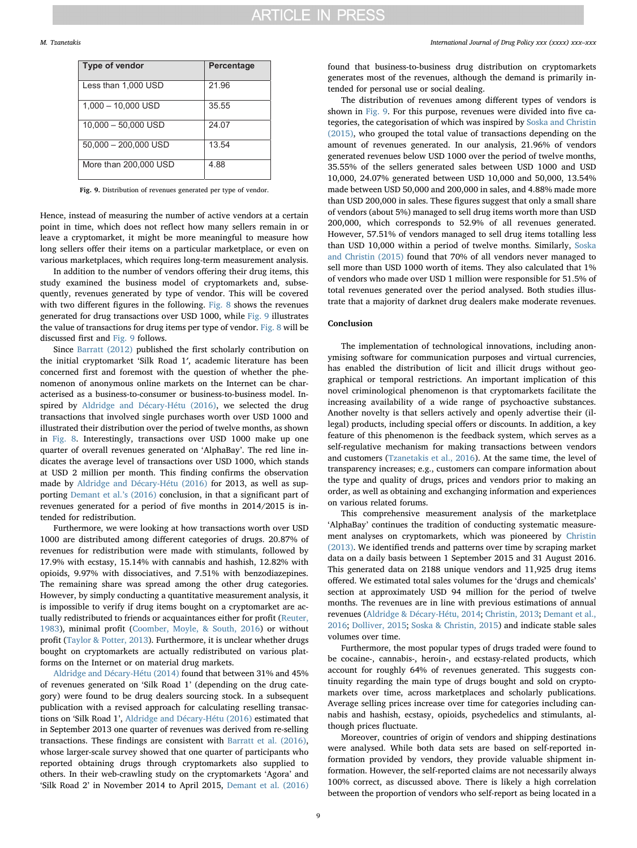| <b>Type of vendor</b>  | Percentage |
|------------------------|------------|
| Less than 1,000 USD    | 21.96      |
| $1,000 - 10,000$ USD   | 35.55      |
| 10,000 - 50,000 USD    | 24.07      |
| $50,000 - 200,000$ USD | 13.54      |
| More than 200,000 USD  | 4.88       |

Fig. 9. Distribution of revenues generated per type of vendor.

Hence, instead of measuring the number of active vendors at a certain point in time, which does not reflect how many sellers remain in or leave a cryptomarket, it might be more meaningful to measure how long sellers offer their items on a particular marketplace, or even on various marketplaces, which requires long-term measurement analysis.

In addition to the number of vendors offering their drug items, this study examined the business model of cryptomarkets and, subsequently, revenues generated by type of vendor. This will be covered with two different figures in the following. [Fig. 8](#page-7-1) shows the revenues generated for drug transactions over USD 1000, while [Fig. 9](#page-8-0) illustrates the value of transactions for drug items per type of vendor. [Fig. 8](#page-7-1) will be discussed first and [Fig. 9](#page-8-0) follows.

Since [Barratt \(2012\)](#page-9-16) published the first scholarly contribution on the initial cryptomarket 'Silk Road 1′, academic literature has been concerned first and foremost with the question of whether the phenomenon of anonymous online markets on the Internet can be characterised as a business-to-consumer or business-to-business model. Inspired by [Aldridge and Décary-Hétu \(2016\)](#page-9-12), we selected the drug transactions that involved single purchases worth over USD 1000 and illustrated their distribution over the period of twelve months, as shown in [Fig. 8](#page-7-1). Interestingly, transactions over USD 1000 make up one quarter of overall revenues generated on 'AlphaBay'. The red line indicates the average level of transactions over USD 1000, which stands at USD 2 million per month. This finding confirms the observation made by [Aldridge and Décary-Hétu \(2016\)](#page-9-12) for 2013, as well as supporting [Demant et al.](#page-10-10)'s (2016) conclusion, in that a significant part of revenues generated for a period of five months in 2014/2015 is intended for redistribution.

Furthermore, we were looking at how transactions worth over USD 1000 are distributed among different categories of drugs. 20.87% of revenues for redistribution were made with stimulants, followed by 17.9% with ecstasy, 15.14% with cannabis and hashish, 12.82% with opioids, 9.97% with dissociatives, and 7.51% with benzodiazepines. The remaining share was spread among the other drug categories. However, by simply conducting a quantitative measurement analysis, it is impossible to verify if drug items bought on a cryptomarket are actually redistributed to friends or acquaintances either for profit [\(Reuter,](#page-10-24) [1983\)](#page-10-24), minimal profit ([Coomber, Moyle, & South, 2016](#page-9-17)) or without profit (Taylor [& Potter, 2013\)](#page-10-25). Furthermore, it is unclear whether drugs bought on cryptomarkets are actually redistributed on various platforms on the Internet or on material drug markets.

[Aldridge and Décary-Hétu \(2014\)](#page-9-10) found that between 31% and 45% of revenues generated on 'Silk Road 1' (depending on the drug category) were found to be drug dealers sourcing stock. In a subsequent publication with a revised approach for calculating reselling transactions on 'Silk Road 1', [Aldridge and Décary-Hétu \(2016\)](#page-9-12) estimated that in September 2013 one quarter of revenues was derived from re-selling transactions. These findings are consistent with [Barratt et al. \(2016\)](#page-9-8), whose larger-scale survey showed that one quarter of participants who reported obtaining drugs through cryptomarkets also supplied to others. In their web-crawling study on the cryptomarkets 'Agora' and 'Silk Road 2' in November 2014 to April 2015, [Demant et al. \(2016\)](#page-10-10)

## <span id="page-8-0"></span>M. Tzanetakis *International Journal of Drug Policy xxx (xxxx) xxx–xxx*

found that business-to-business drug distribution on cryptomarkets generates most of the revenues, although the demand is primarily intended for personal use or social dealing.

The distribution of revenues among different types of vendors is shown in [Fig. 9.](#page-8-0) For this purpose, revenues were divided into five categories, the categorisation of which was inspired by [Soska and Christin](#page-10-12) [\(2015\),](#page-10-12) who grouped the total value of transactions depending on the amount of revenues generated. In our analysis, 21.96% of vendors generated revenues below USD 1000 over the period of twelve months, 35.55% of the sellers generated sales between USD 1000 and USD 10,000, 24.07% generated between USD 10,000 and 50,000, 13.54% made between USD 50,000 and 200,000 in sales, and 4.88% made more than USD 200,000 in sales. These figures suggest that only a small share of vendors (about 5%) managed to sell drug items worth more than USD 200,000, which corresponds to 52.9% of all revenues generated. However, 57.51% of vendors managed to sell drug items totalling less than USD 10,000 within a period of twelve months. Similarly, [Soska](#page-10-12) [and Christin \(2015\)](#page-10-12) found that 70% of all vendors never managed to sell more than USD 1000 worth of items. They also calculated that 1% of vendors who made over USD 1 million were responsible for 51.5% of total revenues generated over the period analysed. Both studies illustrate that a majority of darknet drug dealers make moderate revenues.

## Conclusion

The implementation of technological innovations, including anonymising software for communication purposes and virtual currencies, has enabled the distribution of licit and illicit drugs without geographical or temporal restrictions. An important implication of this novel criminological phenomenon is that cryptomarkets facilitate the increasing availability of a wide range of psychoactive substances. Another novelty is that sellers actively and openly advertise their (illegal) products, including special offers or discounts. In addition, a key feature of this phenomenon is the feedback system, which serves as a self-regulative mechanism for making transactions between vendors and customers [\(Tzanetakis et al., 2016](#page-10-3)). At the same time, the level of transparency increases; e.g., customers can compare information about the type and quality of drugs, prices and vendors prior to making an order, as well as obtaining and exchanging information and experiences on various related forums.

This comprehensive measurement analysis of the marketplace 'AlphaBay' continues the tradition of conducting systematic measurement analyses on cryptomarkets, which was pioneered by [Christin](#page-9-3) [\(2013\).](#page-9-3) We identified trends and patterns over time by scraping market data on a daily basis between 1 September 2015 and 31 August 2016. This generated data on 2188 unique vendors and 11,925 drug items offered. We estimated total sales volumes for the 'drugs and chemicals' section at approximately USD 94 million for the period of twelve months. The revenues are in line with previous estimations of annual revenues ([Aldridge & Décary-Hétu, 2014;](#page-9-10) [Christin, 2013](#page-9-3); [Demant et al.,](#page-10-10) [2016;](#page-10-10) [Dolliver, 2015](#page-10-16); [Soska & Christin, 2015](#page-10-12)) and indicate stable sales volumes over time.

Furthermore, the most popular types of drugs traded were found to be cocaine-, cannabis-, heroin-, and ecstasy-related products, which account for roughly 64% of revenues generated. This suggests continuity regarding the main type of drugs bought and sold on cryptomarkets over time, across marketplaces and scholarly publications. Average selling prices increase over time for categories including cannabis and hashish, ecstasy, opioids, psychedelics and stimulants, although prices fluctuate.

Moreover, countries of origin of vendors and shipping destinations were analysed. While both data sets are based on self-reported information provided by vendors, they provide valuable shipment information. However, the self-reported claims are not necessarily always 100% correct, as discussed above. There is likely a high correlation between the proportion of vendors who self-report as being located in a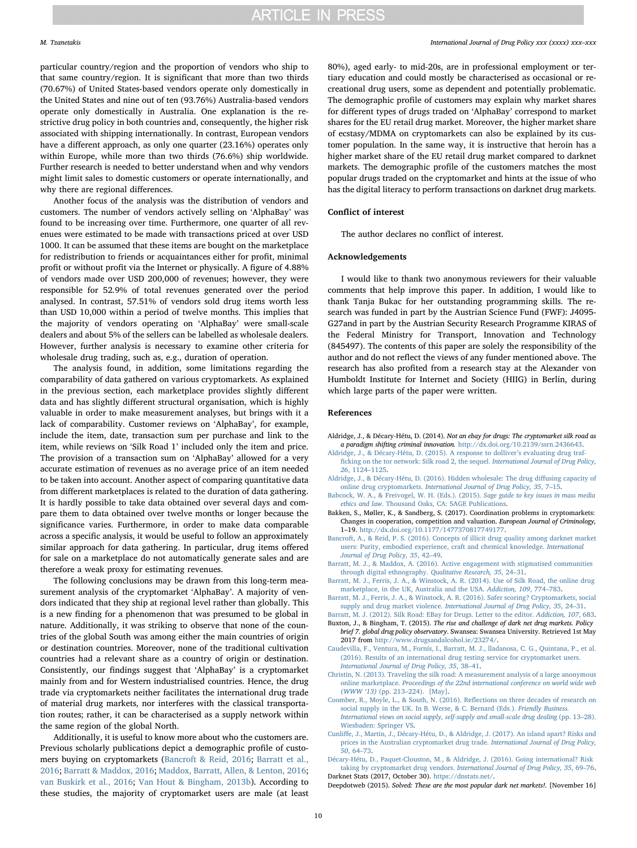particular country/region and the proportion of vendors who ship to that same country/region. It is significant that more than two thirds (70.67%) of United States-based vendors operate only domestically in the United States and nine out of ten (93.76%) Australia-based vendors operate only domestically in Australia. One explanation is the restrictive drug policy in both countries and, consequently, the higher risk associated with shipping internationally. In contrast, European vendors have a different approach, as only one quarter (23.16%) operates only within Europe, while more than two thirds (76.6%) ship worldwide. Further research is needed to better understand when and why vendors might limit sales to domestic customers or operate internationally, and why there are regional differences.

Another focus of the analysis was the distribution of vendors and customers. The number of vendors actively selling on 'AlphaBay' was found to be increasing over time. Furthermore, one quarter of all revenues were estimated to be made with transactions priced at over USD 1000. It can be assumed that these items are bought on the marketplace for redistribution to friends or acquaintances either for profit, minimal profit or without profit via the Internet or physically. A figure of 4.88% of vendors made over USD 200,000 of revenues; however, they were responsible for 52.9% of total revenues generated over the period analysed. In contrast, 57.51% of vendors sold drug items worth less than USD 10,000 within a period of twelve months. This implies that the majority of vendors operating on 'AlphaBay' were small-scale dealers and about 5% of the sellers can be labelled as wholesale dealers. However, further analysis is necessary to examine other criteria for wholesale drug trading, such as, e.g., duration of operation.

The analysis found, in addition, some limitations regarding the comparability of data gathered on various cryptomarkets. As explained in the previous section, each marketplace provides slightly different data and has slightly different structural organisation, which is highly valuable in order to make measurement analyses, but brings with it a lack of comparability. Customer reviews on 'AlphaBay', for example, include the item, date, transaction sum per purchase and link to the item, while reviews on 'Silk Road 1' included only the item and price. The provision of a transaction sum on 'AlphaBay' allowed for a very accurate estimation of revenues as no average price of an item needed to be taken into account. Another aspect of comparing quantitative data from different marketplaces is related to the duration of data gathering. It is hardly possible to take data obtained over several days and compare them to data obtained over twelve months or longer because the significance varies. Furthermore, in order to make data comparable across a specific analysis, it would be useful to follow an approximately similar approach for data gathering. In particular, drug items offered for sale on a marketplace do not automatically generate sales and are therefore a weak proxy for estimating revenues.

The following conclusions may be drawn from this long-term measurement analysis of the cryptomarket 'AlphaBay'. A majority of vendors indicated that they ship at regional level rather than globally. This is a new finding for a phenomenon that was presumed to be global in nature. Additionally, it was striking to observe that none of the countries of the global South was among either the main countries of origin or destination countries. Moreover, none of the traditional cultivation countries had a relevant share as a country of origin or destination. Consistently, our findings suggest that 'AlphaBay' is a cryptomarket mainly from and for Western industrialised countries. Hence, the drug trade via cryptomarkets neither facilitates the international drug trade of material drug markets, nor interferes with the classical transportation routes; rather, it can be characterised as a supply network within the same region of the global North.

Additionally, it is useful to know more about who the customers are. Previous scholarly publications depict a demographic profile of customers buying on cryptomarkets ([Bancroft & Reid, 2016;](#page-9-5) [Barratt et al.,](#page-9-8) [2016;](#page-9-8) [Barratt & Maddox, 2016](#page-9-7); [Maddox, Barratt, Allen, & Lenton, 2016](#page-10-26); [van Buskirk et al., 2016](#page-10-21); [Van Hout & Bingham, 2013b\)](#page-10-7). According to these studies, the majority of cryptomarket users are male (at least

80%), aged early- to mid-20s, are in professional employment or tertiary education and could mostly be characterised as occasional or recreational drug users, some as dependent and potentially problematic. The demographic profile of customers may explain why market shares for different types of drugs traded on 'AlphaBay' correspond to market shares for the EU retail drug market. Moreover, the higher market share of ecstasy/MDMA on cryptomarkets can also be explained by its customer population. In the same way, it is instructive that heroin has a higher market share of the EU retail drug market compared to darknet markets. The demographic profile of the customers matches the most popular drugs traded on the cryptomarket and hints at the issue of who has the digital literacy to perform transactions on darknet drug markets.

## Conflict of interest

The author declares no conflict of interest.

## Acknowledgements

I would like to thank two anonymous reviewers for their valuable comments that help improve this paper. In addition, I would like to thank Tanja Bukac for her outstanding programming skills. The research was funded in part by the Austrian Science Fund (FWF): J4095- G27and in part by the Austrian Security Research Programme KIRAS of the Federal Ministry for Transport, Innovation and Technology (845497). The contents of this paper are solely the responsibility of the author and do not reflect the views of any funder mentioned above. The research has also profited from a research stay at the Alexander von Humboldt Institute for Internet and Society (HIIG) in Berlin, during which large parts of the paper were written.

## References

- <span id="page-9-10"></span>Aldridge, J., & Décary-Hétu, D. (2014). Not an ebay for drugs: The cryptomarket silk road as a paradigm shifting criminal innovation. [http://dx.doi.org/10.2139/ssrn.2436643.](http://dx.doi.org/10.2139/ssrn.2436643)
- <span id="page-9-14"></span>[Aldridge, J., & Décary-Hétu, D. \(2015\). A response to dolliver](http://refhub.elsevier.com/S0955-3959(18)30029-X/sbref0010)'s evaluating drug traffi[cking on the tor network: Silk road 2, the sequel.](http://refhub.elsevier.com/S0955-3959(18)30029-X/sbref0010) International Journal of Drug Policy, 26[, 1124](http://refhub.elsevier.com/S0955-3959(18)30029-X/sbref0010)–1125.
- <span id="page-9-12"></span>[Aldridge, J., & Décary-Hétu, D. \(2016\). Hidden wholesale: The drug di](http://refhub.elsevier.com/S0955-3959(18)30029-X/sbref0015)ffusing capacity of online drug cryptomarkets. [International Journal of Drug Policy, 35](http://refhub.elsevier.com/S0955-3959(18)30029-X/sbref0015), 7–15.
- <span id="page-9-15"></span>[Babcock, W. A., & Freivogel, W. H. \(Eds.\). \(2015\).](http://refhub.elsevier.com/S0955-3959(18)30029-X/sbref0020) Sage guide to key issues in mass media ethics and law[. Thousand Oaks, CA: SAGE Publications](http://refhub.elsevier.com/S0955-3959(18)30029-X/sbref0020).
- <span id="page-9-2"></span>Bakken, S., Møller, K., & Sandberg, S. (2017). Coordination problems in cryptomarkets: Changes in cooperation, competition and valuation. European Journal of Criminology, 1–19. [http://dx.doi.org/10.1177/1477370817749177.](http://dx.doi.org/10.1177/1477370817749177)
- <span id="page-9-5"></span>[Bancroft, A., & Reid, P. S. \(2016\). Concepts of illicit drug quality among darknet market](http://refhub.elsevier.com/S0955-3959(18)30029-X/sbref0030) [users: Purity, embodied experience, craft and chemical knowledge.](http://refhub.elsevier.com/S0955-3959(18)30029-X/sbref0030) International [Journal of Drug Policy, 35](http://refhub.elsevier.com/S0955-3959(18)30029-X/sbref0030), 42–49.
- <span id="page-9-7"></span>[Barratt, M. J., & Maddox, A. \(2016\). Active engagement with stigmatised communities](http://refhub.elsevier.com/S0955-3959(18)30029-X/sbref0035) [through digital ethnography.](http://refhub.elsevier.com/S0955-3959(18)30029-X/sbref0035) Qualitative Research, 35, 24–31.
- <span id="page-9-1"></span>[Barratt, M. J., Ferris, J. A., & Winstock, A. R. \(2014\). Use of Silk Road, the online drug](http://refhub.elsevier.com/S0955-3959(18)30029-X/sbref0040) [marketplace, in the UK, Australia and the USA.](http://refhub.elsevier.com/S0955-3959(18)30029-X/sbref0040) Addiction, 109, 774–783.
- <span id="page-9-8"></span>[Barratt, M. J., Ferris, J. A., & Winstock, A. R. \(2016\). Safer scoring? Cryptomarkets, social](http://refhub.elsevier.com/S0955-3959(18)30029-X/sbref0045) supply and drug market violence. [International Journal of Drug Policy, 35](http://refhub.elsevier.com/S0955-3959(18)30029-X/sbref0045), 24–31.
- <span id="page-9-16"></span><span id="page-9-0"></span>[Barratt, M. J. \(2012\). Silk Road: EBay for Drugs. Letter to the editor.](http://refhub.elsevier.com/S0955-3959(18)30029-X/sbref0050) Addiction, 107, 683. Buxton, J., & Bingham, T. (2015). The rise and challenge of dark net drug markets. Policy brief 7. global drug policy observatory. Swansea: Swansea University. Retrieved 1st May 2017 from [http://www.drugsandalcohol.ie/23274/.](http://www.drugsandalcohol.ie/23274/)
- <span id="page-9-6"></span>[Caudevilla, F., Ventura, M., Fornís, I., Barratt, M. J., lladanosa, C. G., Quintana, P., et al.](http://refhub.elsevier.com/S0955-3959(18)30029-X/sbref0060) [\(2016\). Results of an international drug testing service for cryptomarket users.](http://refhub.elsevier.com/S0955-3959(18)30029-X/sbref0060) [International Journal of Drug Policy, 35](http://refhub.elsevier.com/S0955-3959(18)30029-X/sbref0060), 38–41.
- <span id="page-9-3"></span>[Christin, N. \(2013\). Traveling the silk road: A measurement analysis of a large anonymous](http://refhub.elsevier.com/S0955-3959(18)30029-X/sbref0065) online marketplace. [Proceedings of the 22nd international conference on world wide web](http://refhub.elsevier.com/S0955-3959(18)30029-X/sbref0065) (WWW '13) (pp. 213–[224\). \[May\].](http://refhub.elsevier.com/S0955-3959(18)30029-X/sbref0065)
- <span id="page-9-17"></span>[Coomber, R., Moyle, L., & South, N. \(2016\). Re](http://refhub.elsevier.com/S0955-3959(18)30029-X/sbref0070)flections on three decades of research on [social supply in the UK. In B. Werse, & C. Bernard \(Eds.\).](http://refhub.elsevier.com/S0955-3959(18)30029-X/sbref0070) Friendly Business. [International views on social supply, self-supply and small-scale drug dealing](http://refhub.elsevier.com/S0955-3959(18)30029-X/sbref0070) (pp. 13–28). Wiesbaden: [Springer VS.](http://refhub.elsevier.com/S0955-3959(18)30029-X/sbref0070)
- <span id="page-9-11"></span>Cunliff[e, J., Martin, J., Décary-Hétu, D., & Aldridge, J. \(2017\). An island apart? Risks and](http://refhub.elsevier.com/S0955-3959(18)30029-X/sbref0075) [prices in the Australian cryptomarket drug trade.](http://refhub.elsevier.com/S0955-3959(18)30029-X/sbref0075) International Journal of Drug Policy, 50[, 64](http://refhub.elsevier.com/S0955-3959(18)30029-X/sbref0075)–73.
- <span id="page-9-9"></span>[Décary-Hétu, D., Paquet-Clouston, M., & Aldridge, J. \(2016\). Going international? Risk](http://refhub.elsevier.com/S0955-3959(18)30029-X/sbref0080) taking by cryptomarket drug vendors. [International Journal of Drug Policy, 35](http://refhub.elsevier.com/S0955-3959(18)30029-X/sbref0080), 69–76. Darknet Stats (2017, October 30). <https://dnstats.net/>.

<span id="page-9-13"></span><span id="page-9-4"></span>Deepdotweb (2015). Solved: These are the most popular dark net markets!. [November 16]